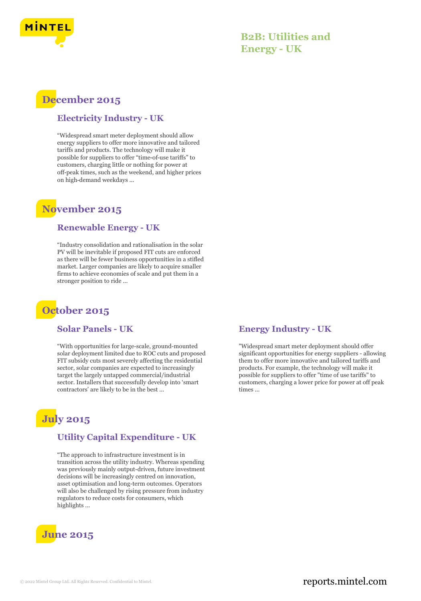

## **B2B: Utilities and Energy - UK**

# **December 2015**

### **Electricity Industry - UK**

"Widespread smart meter deployment should allow energy suppliers to offer more innovative and tailored tariffs and products. The technology will make it possible for suppliers to offer "time‑of‑use tariffs" to customers, charging little or nothing for power at off‑peak times, such as the weekend, and higher prices on high-demand weekdays ...

## **November 2015**

#### **Renewable Energy - UK**

"Industry consolidation and rationalisation in the solar PV will be inevitable if proposed FIT cuts are enforced as there will be fewer business opportunities in a stifled market. Larger companies are likely to acquire smaller firms to achieve economies of scale and put them in a stronger position to ride ...

# **October 2015**

#### **Solar Panels - UK**

"With opportunities for large-scale, ground-mounted solar deployment limited due to ROC cuts and proposed FIT subsidy cuts most severely affecting the residential sector, solar companies are expected to increasingly target the largely untapped commercial/industrial sector. Installers that successfully develop into 'smart contractors' are likely to be in the best ...

# **July 2015**

## **Utility Capital Expenditure - UK**

"The approach to infrastructure investment is in transition across the utility industry. Whereas spending was previously mainly output-driven, future investment decisions will be increasingly centred on innovation, asset optimisation and long-term outcomes. Operators will also be challenged by rising pressure from industry regulators to reduce costs for consumers, which highlights ...



## **Energy Industry - UK**

"Widespread smart meter deployment should offer significant opportunities for energy suppliers - allowing them to offer more innovative and tailored tariffs and products. For example, the technology will make it possible for suppliers to offer "time of use tariffs" to customers, charging a lower price for power at off peak times ...